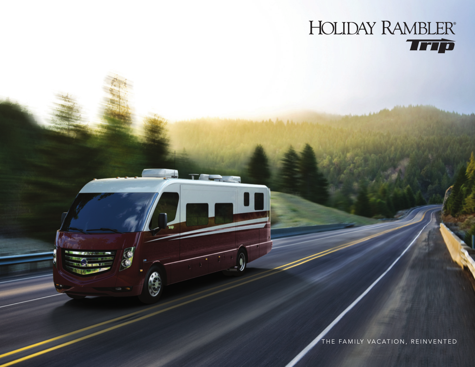

THE FAMILY VACATION, REINVENTED